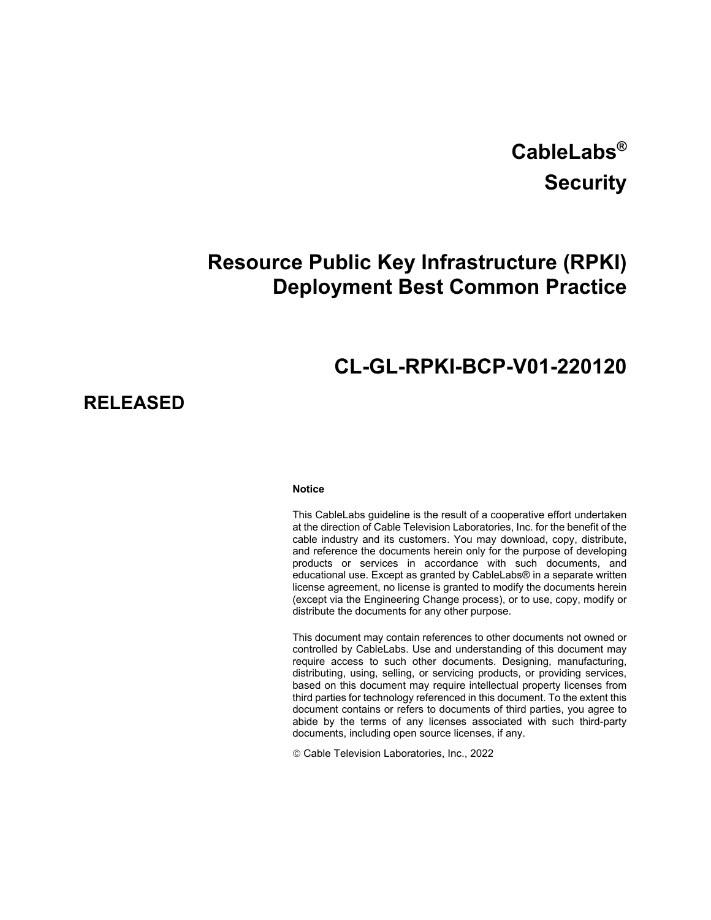# **CableLabs® Security**

## **Resource Public Key Infrastructure (RPKI) Deployment Best Common Practice**

## **CL-GL-RPKI-BCP-V01-220120**

### **RELEASED**

#### **Notice**

This CableLabs guideline is the result of a cooperative effort undertaken at the direction of Cable Television Laboratories, Inc. for the benefit of the cable industry and its customers. You may download, copy, distribute, and reference the documents herein only for the purpose of developing products or services in accordance with such documents, and educational use. Except as granted by CableLabs® in a separate written license agreement, no license is granted to modify the documents herein (except via the Engineering Change process), or to use, copy, modify or distribute the documents for any other purpose.

This document may contain references to other documents not owned or controlled by CableLabs. Use and understanding of this document may require access to such other documents. Designing, manufacturing, distributing, using, selling, or servicing products, or providing services, based on this document may require intellectual property licenses from third parties for technology referenced in this document. To the extent this document contains or refers to documents of third parties, you agree to abide by the terms of any licenses associated with such third-party documents, including open source licenses, if any.

Cable Television Laboratories, Inc., 2022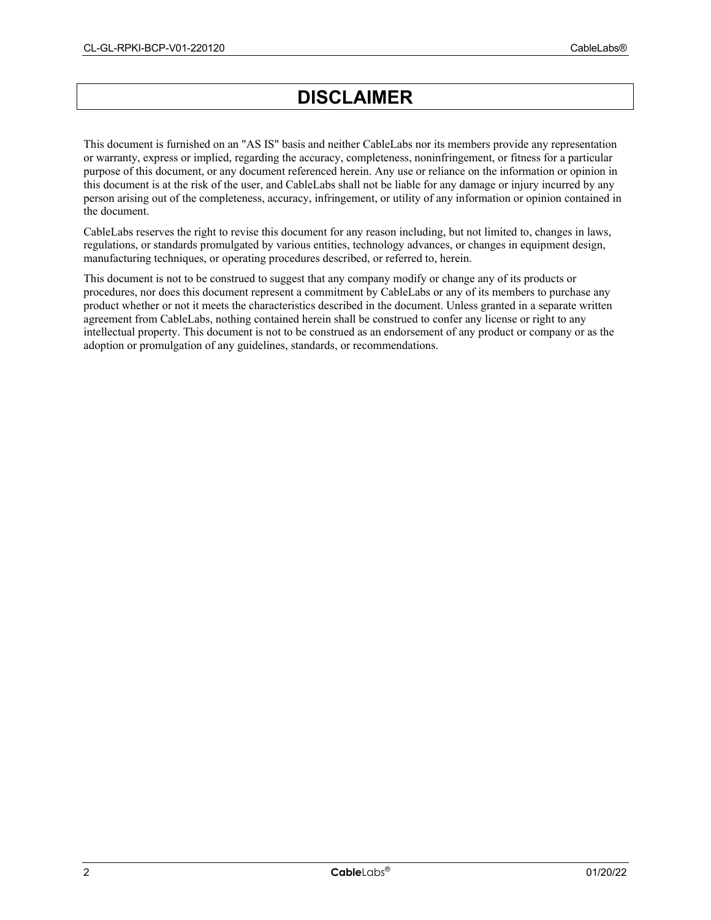## **DISCLAIMER**

This document is furnished on an "AS IS" basis and neither CableLabs nor its members provide any representation or warranty, express or implied, regarding the accuracy, completeness, noninfringement, or fitness for a particular purpose of this document, or any document referenced herein. Any use or reliance on the information or opinion in this document is at the risk of the user, and CableLabs shall not be liable for any damage or injury incurred by any person arising out of the completeness, accuracy, infringement, or utility of any information or opinion contained in the document.

CableLabs reserves the right to revise this document for any reason including, but not limited to, changes in laws, regulations, or standards promulgated by various entities, technology advances, or changes in equipment design, manufacturing techniques, or operating procedures described, or referred to, herein.

This document is not to be construed to suggest that any company modify or change any of its products or procedures, nor does this document represent a commitment by CableLabs or any of its members to purchase any product whether or not it meets the characteristics described in the document. Unless granted in a separate written agreement from CableLabs, nothing contained herein shall be construed to confer any license or right to any intellectual property. This document is not to be construed as an endorsement of any product or company or as the adoption or promulgation of any guidelines, standards, or recommendations.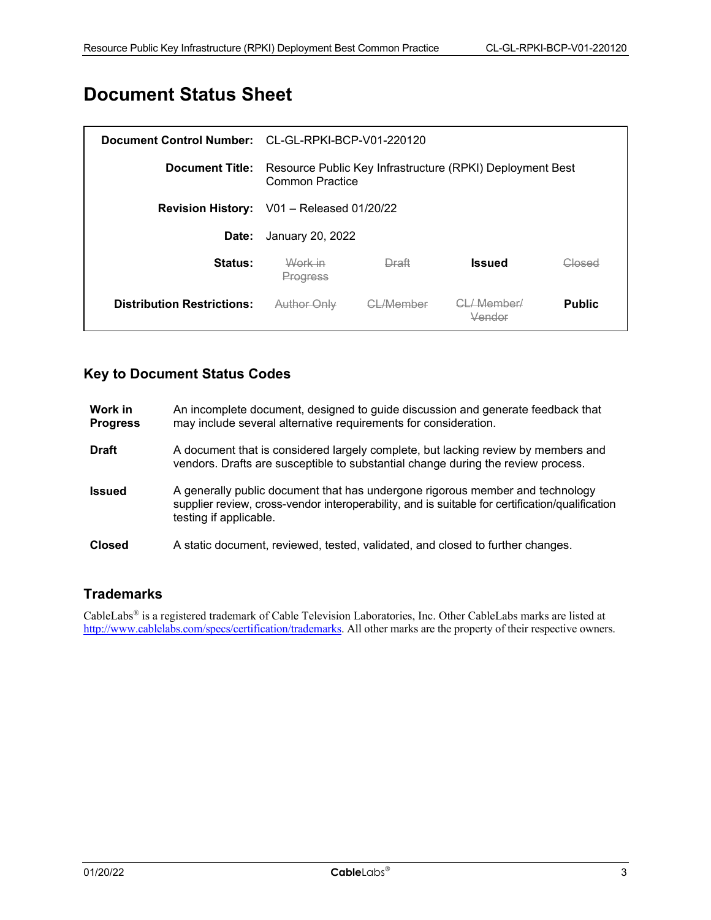## **Document Status Sheet**

|                                   | Document Control Number: CL-GL-RPKI-BCP-V01-220120                           |                 |                        |               |
|-----------------------------------|------------------------------------------------------------------------------|-----------------|------------------------|---------------|
| <b>Document Title:</b>            | Resource Public Key Infrastructure (RPKI) Deployment Best<br>Common Practice |                 |                        |               |
|                                   | <b>Revision History:</b> V01 - Released 01/20/22                             |                 |                        |               |
| Date:                             | January 20, 2022                                                             |                 |                        |               |
| Status:                           | Work in<br>Progress                                                          | Draft           | <b>Issued</b>          | Closed        |
| <b>Distribution Restrictions:</b> | Author Only                                                                  | <u>-/Member</u> | <del>CL/ Member/</del> | <b>Public</b> |

### **Key to Document Status Codes**

| Work in<br><b>Progress</b> | An incomplete document, designed to guide discussion and generate feedback that<br>may include several alternative requirements for consideration.                                                         |
|----------------------------|------------------------------------------------------------------------------------------------------------------------------------------------------------------------------------------------------------|
| <b>Draft</b>               | A document that is considered largely complete, but lacking review by members and<br>vendors. Drafts are susceptible to substantial change during the review process.                                      |
| <b>Issued</b>              | A generally public document that has undergone rigorous member and technology<br>supplier review, cross-vendor interoperability, and is suitable for certification/qualification<br>testing if applicable. |
| <b>Closed</b>              | A static document, reviewed, tested, validated, and closed to further changes.                                                                                                                             |

### **Trademarks**

CableLabs® is a registered trademark of Cable Television Laboratories, Inc. Other CableLabs marks are listed at [http://www.cablelabs.com/specs/certification/trademarks.](http://www.cablelabs.com/specs/certification/trademarks) All other marks are the property of their respective owners.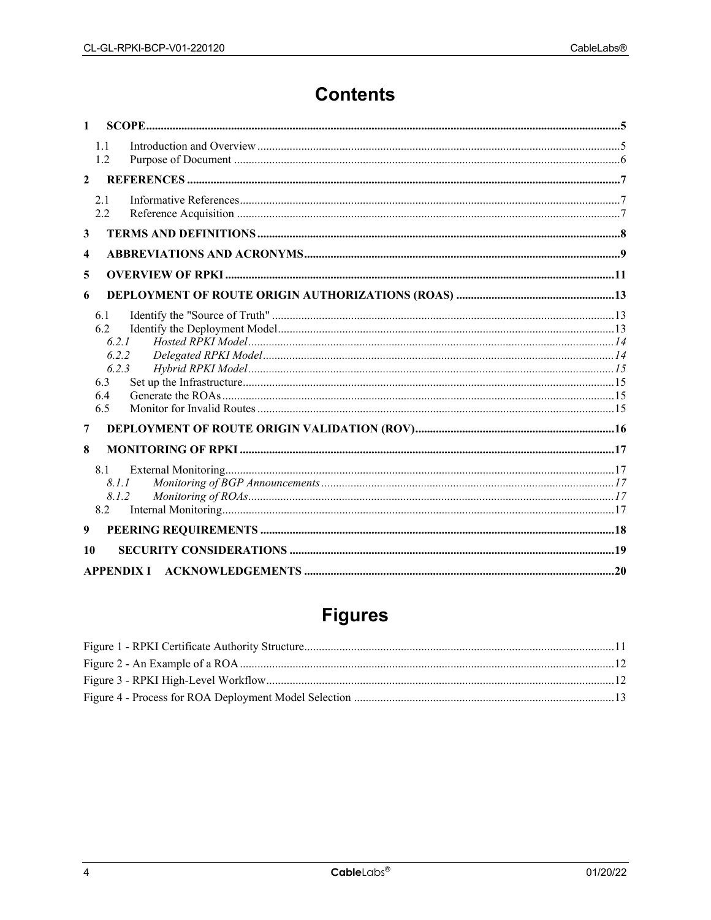## **Contents**

| $\mathbf{1}$            |                                                            |                   |  |
|-------------------------|------------------------------------------------------------|-------------------|--|
|                         | 1.1<br>1.2                                                 |                   |  |
| $\mathbf{2}$            |                                                            |                   |  |
|                         | 2.1<br>2.2                                                 |                   |  |
| 3                       |                                                            |                   |  |
| $\overline{\mathbf{4}}$ |                                                            |                   |  |
| 5                       |                                                            |                   |  |
| 6                       |                                                            |                   |  |
|                         | 6.1<br>6.2<br>6.2.1<br>6.2.2<br>6.2.3<br>6.3<br>6.4<br>6.5 |                   |  |
| 7                       |                                                            |                   |  |
| 8                       | 8.1<br>8.1.1<br>8.1.2<br>8.2                               |                   |  |
| 9                       |                                                            |                   |  |
| 10                      |                                                            |                   |  |
|                         |                                                            | <b>APPENDIX I</b> |  |

## **Figures**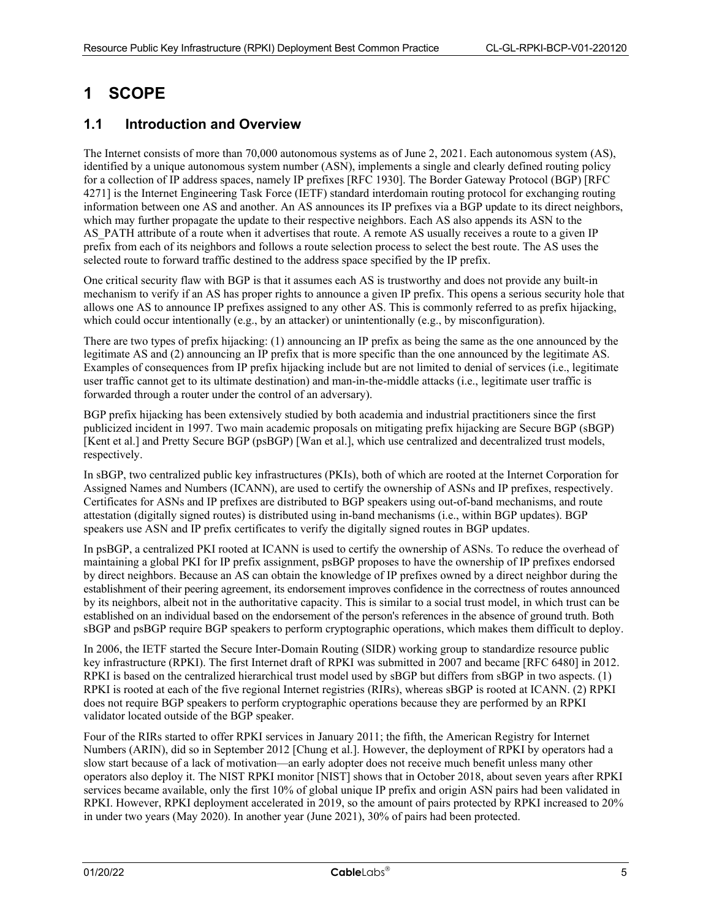### <span id="page-4-0"></span>**1 SCOPE**

#### <span id="page-4-1"></span>**1.1 Introduction and Overview**

The Internet consists of more than 70,000 autonomous systems as of June 2, 2021. Each autonomous system (AS), identified by a unique autonomous system number (ASN), implements a single and clearly defined routing policy for a collection of IP address spaces, namely IP prefixes [\[RFC 1930\].](#page-6-3) The Border Gateway Protocol (BGP) [\[RFC](#page-6-4)  [4271\]](#page-6-4) is the Internet Engineering Task Force (IETF) standard interdomain routing protocol for exchanging routing information between one AS and another. An AS announces its IP prefixes via a BGP update to its direct neighbors, which may further propagate the update to their respective neighbors. Each AS also appends its ASN to the AS PATH attribute of a route when it advertises that route. A remote AS usually receives a route to a given IP prefix from each of its neighbors and follows a route selection process to select the best route. The AS uses the selected route to forward traffic destined to the address space specified by the IP prefix.

One critical security flaw with BGP is that it assumes each AS is trustworthy and does not provide any built-in mechanism to verify if an AS has proper rights to announce a given IP prefix. This opens a serious security hole that allows one AS to announce IP prefixes assigned to any other AS. This is commonly referred to as prefix hijacking, which could occur intentionally (e.g., by an attacker) or unintentionally (e.g., by misconfiguration).

There are two types of prefix hijacking: (1) announcing an IP prefix as being the same as the one announced by the legitimate AS and (2) announcing an IP prefix that is more specific than the one announced by the legitimate AS. Examples of consequences from IP prefix hijacking include but are not limited to denial of services (i.e., legitimate user traffic cannot get to its ultimate destination) and man-in-the-middle attacks (i.e., legitimate user traffic is forwarded through a router under the control of an adversary).

BGP prefix hijacking has been extensively studied by both academia and industrial practitioners since the first publicized incident in 1997. Two main academic proposals on mitigating prefix hijacking are Secure BGP (sBGP) [\[Kent](#page-6-5) et al.] and Pretty Secure BGP (psBGP) [\[Wan et al.\],](#page-6-6) which use centralized and decentralized trust models, respectively.

In sBGP, two centralized public key infrastructures (PKIs), both of which are rooted at the Internet Corporation for Assigned Names and Numbers (ICANN), are used to certify the ownership of ASNs and IP prefixes, respectively. Certificates for ASNs and IP prefixes are distributed to BGP speakers using out-of-band mechanisms, and route attestation (digitally signed routes) is distributed using in-band mechanisms (i.e., within BGP updates). BGP speakers use ASN and IP prefix certificates to verify the digitally signed routes in BGP updates.

In psBGP, a centralized PKI rooted at ICANN is used to certify the ownership of ASNs. To reduce the overhead of maintaining a global PKI for IP prefix assignment, psBGP proposes to have the ownership of IP prefixes endorsed by direct neighbors. Because an AS can obtain the knowledge of IP prefixes owned by a direct neighbor during the establishment of their peering agreement, its endorsement improves confidence in the correctness of routes announced by its neighbors, albeit not in the authoritative capacity. This is similar to a social trust model, in which trust can be established on an individual based on the endorsement of the person's references in the absence of ground truth. Both sBGP and psBGP require BGP speakers to perform cryptographic operations, which makes them difficult to deploy.

In 2006, the IETF started the Secure Inter-Domain Routing (SIDR) working group to standardize resource public key infrastructure (RPKI). The first Internet draft of RPKI was submitted in 2007 and became [\[RFC 6480\]](#page-6-7) in 2012. RPKI is based on the centralized hierarchical trust model used by sBGP but differs from sBGP in two aspects. (1) RPKI is rooted at each of the five regional Internet registries (RIRs), whereas sBGP is rooted at ICANN. (2) RPKI does not require BGP speakers to perform cryptographic operations because they are performed by an RPKI validator located outside of the BGP speaker.

Four of the RIRs started to offer RPKI services in January 2011; the fifth, the American Registry for Internet Numbers (ARIN), did so in September 2012 [\[Chung et al.\].](#page-6-8) However, the deployment of RPKI by operators had a slow start because of a lack of motivation—an early adopter does not receive much benefit unless many other operators also deploy it. The NIST RPKI monitor [\[NIST\]](#page-6-9) shows that in October 2018, about seven years after RPKI services became available, only the first 10% of global unique IP prefix and origin ASN pairs had been validated in RPKI. However, RPKI deployment accelerated in 2019, so the amount of pairs protected by RPKI increased to 20% in under two years (May 2020). In another year (June 2021), 30% of pairs had been protected.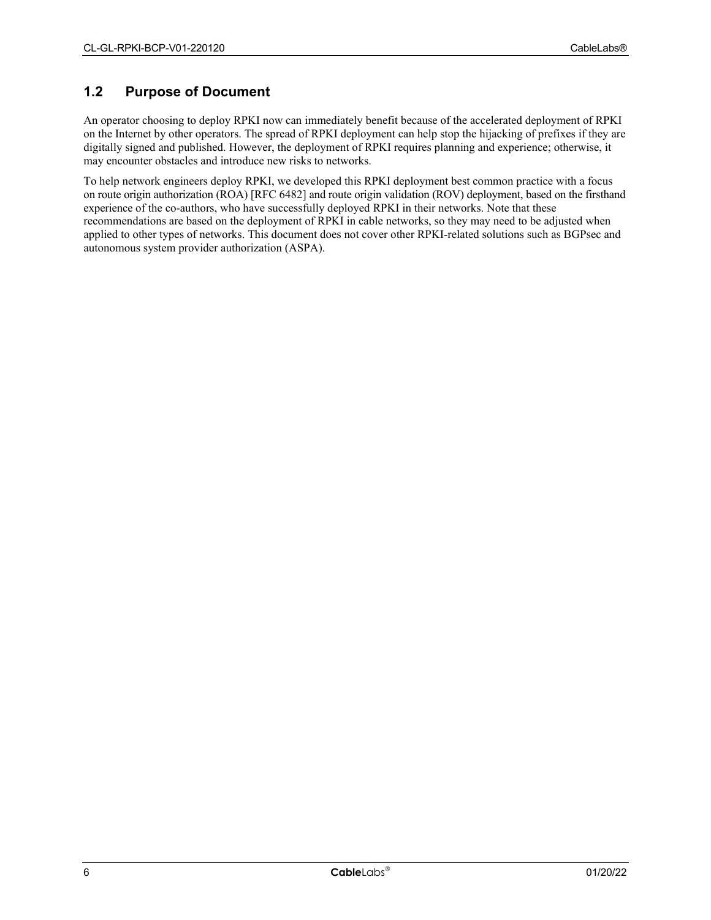### <span id="page-5-0"></span>**1.2 Purpose of Document**

An operator choosing to deploy RPKI now can immediately benefit because of the accelerated deployment of RPKI on the Internet by other operators. The spread of RPKI deployment can help stop the hijacking of prefixes if they are digitally signed and published. However, the deployment of RPKI requires planning and experience; otherwise, it may encounter obstacles and introduce new risks to networks.

To help network engineers deploy RPKI, we developed this RPKI deployment best common practice with a focus on route origin authorization (ROA) [\[RFC 6482\]](#page-6-10) and route origin validation (ROV) deployment, based on the firsthand experience of the co-authors, who have successfully deployed RPKI in their networks. Note that these recommendations are based on the deployment of RPKI in cable networks, so they may need to be adjusted when applied to other types of networks. This document does not cover other RPKI-related solutions such as BGPsec and autonomous system provider authorization (ASPA).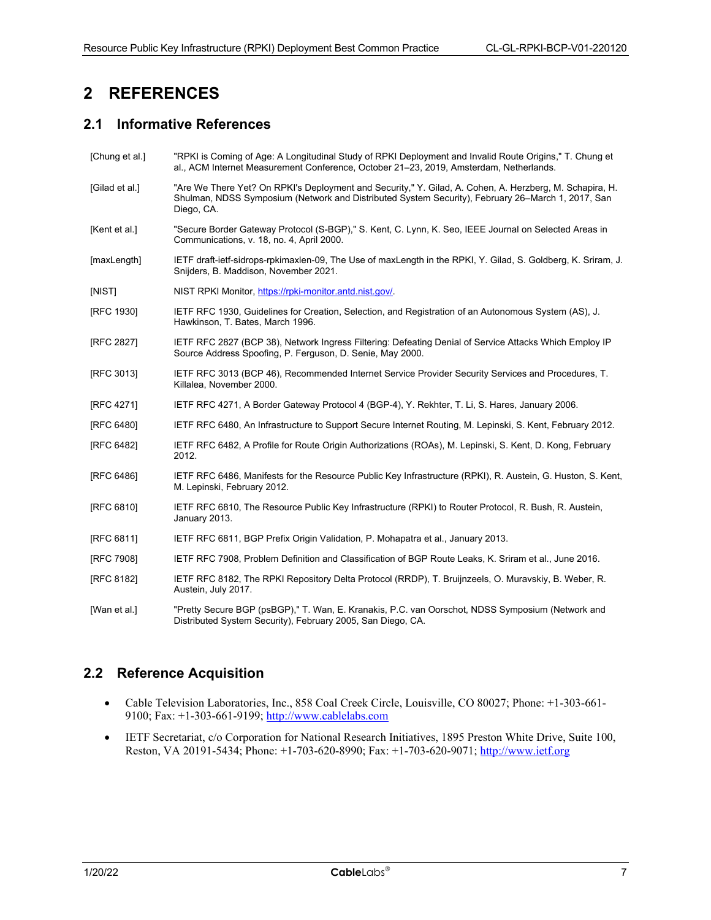### <span id="page-6-0"></span>**2 REFERENCES**

### <span id="page-6-1"></span>**2.1 Informative References**

- <span id="page-6-8"></span>[Chung et al.] "RPKI is Coming of Age: A Longitudinal Study of RPKI Deployment and Invalid Route Origins," T. Chung et al., ACM Internet Measurement Conference, October 21–23, 2019, Amsterdam, Netherlands.
- <span id="page-6-19"></span>[Gilad et al.] "Are We There Yet? On RPKI's Deployment and Security," Y. Gilad, A. Cohen, A. Herzberg, M. Schapira, H. Shulman, NDSS Symposium (Network and Distributed System Security), February 26–March 1, 2017, San Diego, CA.
- <span id="page-6-5"></span>[Kent et al.] "Secure Border Gateway Protocol (S-BGP)," S. Kent, C. Lynn, K. Seo, IEEE Journal on Selected Areas in Communications, v. 18, no. 4, April 2000.
- <span id="page-6-14"></span>[maxLength] IETF draft-ietf-sidrops-rpkimaxlen-09, The Use of maxLength in the RPKI, Y. Gilad, S. Goldberg, K. Sriram, J. Snijders, B. Maddison, November 2021.
- <span id="page-6-9"></span>[NIST] NIST RPKI Monitor, [https://rpki-monitor.antd.nist.gov/.](https://rpki-monitor.antd.nist.gov/)
- <span id="page-6-3"></span>[RFC 1930] IETF RFC 1930, Guidelines for Creation, Selection, and Registration of an Autonomous System (AS), J. Hawkinson, T. Bates, March 1996.
- <span id="page-6-17"></span>[RFC 2827] IETF RFC 2827 (BCP 38), Network Ingress Filtering: Defeating Denial of Service Attacks Which Employ IP Source Address Spoofing, P. Ferguson, D. Senie, May 2000.
- <span id="page-6-18"></span>[RFC 3013] IETF RFC 3013 (BCP 46), Recommended Internet Service Provider Security Services and Procedures, T. Killalea, November 2000.
- <span id="page-6-4"></span>[RFC 4271] IETF RFC 4271, A Border Gateway Protocol 4 (BGP-4), Y. Rekhter, T. Li, S. Hares, January 2006.
- <span id="page-6-7"></span>[RFC 6480] IETF RFC 6480, An Infrastructure to Support Secure Internet Routing, M. Lepinski, S. Kent, February 2012.
- <span id="page-6-10"></span>[RFC 6482] IETF RFC 6482, A Profile for Route Origin Authorizations (ROAs), M. Lepinski, S. Kent, D. Kong, February 2012.
- <span id="page-6-15"></span>[RFC 6486] IETF RFC 6486, Manifests for the Resource Public Key Infrastructure (RPKI), R. Austein, G. Huston, S. Kent, M. Lepinski, February 2012.
- <span id="page-6-12"></span>[RFC 6810] IETF RFC 6810, The Resource Public Key Infrastructure (RPKI) to Router Protocol, R. Bush, R. Austein, January 2013.
- <span id="page-6-13"></span>[RFC 6811] IETF RFC 6811, BGP Prefix Origin Validation, P. Mohapatra et al., January 2013.
- <span id="page-6-11"></span>[RFC 7908] IETF RFC 7908, Problem Definition and Classification of BGP Route Leaks, K. Sriram et al., June 2016.
- <span id="page-6-16"></span>[RFC 8182] IETF RFC 8182, The RPKI Repository Delta Protocol (RRDP), T. Bruijnzeels, O. Muravskiy, B. Weber, R. Austein, July 2017.
- <span id="page-6-6"></span>[Wan et al.] "Pretty Secure BGP (psBGP)," T. Wan, E. Kranakis, P.C. van Oorschot, NDSS Symposium (Network and Distributed System Security), February 2005, San Diego, CA.

### <span id="page-6-2"></span>**2.2 Reference Acquisition**

- Cable Television Laboratories, Inc., 858 Coal Creek Circle, Louisville, CO 80027; Phone: +1-303-661- 9100; Fax: +1-303-661-9199; [http://www.cablelabs.com](http://www.cablelabs.com/)
- IETF Secretariat, c/o Corporation for National Research Initiatives, 1895 Preston White Drive, Suite 100, Reston, VA 20191-5434; Phone: +1-703-620-8990; Fax: +1-703-620-9071; [http://www.ietf.org](http://www.ietf.org/)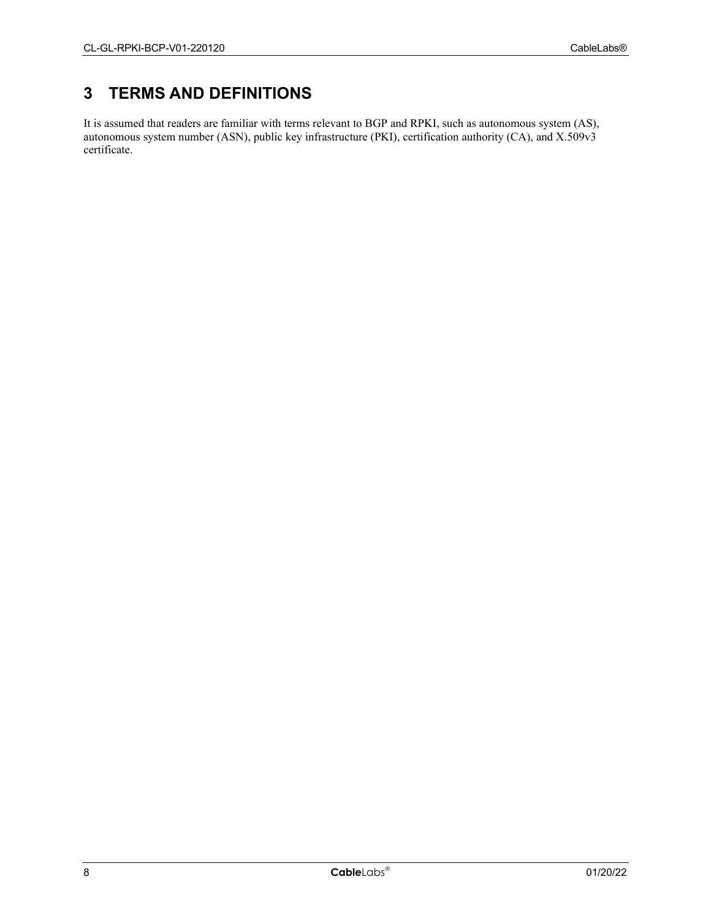### <span id="page-7-0"></span>**3 TERMS AND DEFINITIONS**

It is assumed that readers are familiar with terms relevant to BGP and RPKI, such as autonomous system (AS), autonomous system number (ASN), public key infrastructure (PKI), certification authority (CA), and X.509v3 certificate.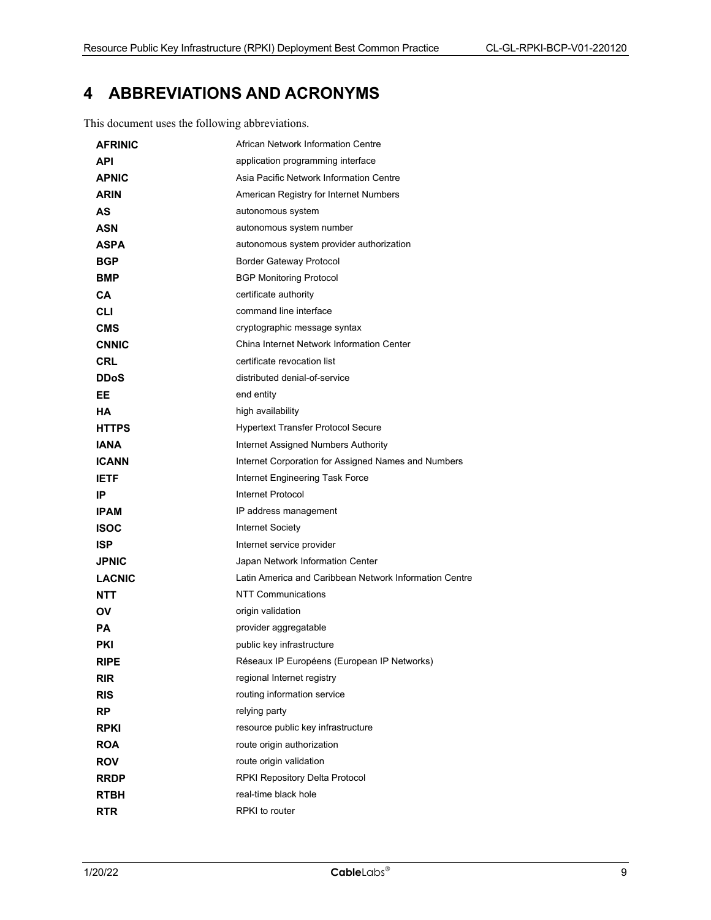### <span id="page-8-0"></span>**4 ABBREVIATIONS AND ACRONYMS**

This document uses the following abbreviations.

| <b>AFRINIC</b> | African Network Information Centre                     |  |
|----------------|--------------------------------------------------------|--|
| <b>API</b>     | application programming interface                      |  |
| <b>APNIC</b>   | Asia Pacific Network Information Centre                |  |
| <b>ARIN</b>    | American Registry for Internet Numbers                 |  |
| AS             | autonomous system                                      |  |
| ASN            | autonomous system number                               |  |
| ASPA           | autonomous system provider authorization               |  |
| <b>BGP</b>     | <b>Border Gateway Protocol</b>                         |  |
| <b>BMP</b>     | <b>BGP Monitoring Protocol</b>                         |  |
| CА             | certificate authority                                  |  |
| CLI            | command line interface                                 |  |
| <b>CMS</b>     | cryptographic message syntax                           |  |
| <b>CNNIC</b>   | China Internet Network Information Center              |  |
| CRL            | certificate revocation list                            |  |
| <b>DDoS</b>    | distributed denial-of-service                          |  |
| EE.            | end entity                                             |  |
| HА             | high availability                                      |  |
| <b>HTTPS</b>   | <b>Hypertext Transfer Protocol Secure</b>              |  |
| <b>IANA</b>    | Internet Assigned Numbers Authority                    |  |
| <b>ICANN</b>   | Internet Corporation for Assigned Names and Numbers    |  |
| <b>IETF</b>    | Internet Engineering Task Force                        |  |
| IP             | Internet Protocol                                      |  |
| <b>IPAM</b>    | IP address management                                  |  |
| <b>ISOC</b>    | <b>Internet Society</b>                                |  |
| <b>ISP</b>     | Internet service provider                              |  |
| <b>JPNIC</b>   | Japan Network Information Center                       |  |
| <b>LACNIC</b>  | Latin America and Caribbean Network Information Centre |  |
| <b>NTT</b>     | NTT Communications                                     |  |
| ΟV             | origin validation                                      |  |
| PА             | provider aggregatable                                  |  |
| PKI            | public key infrastructure                              |  |
| <b>RIPE</b>    | Réseaux IP Européens (European IP Networks)            |  |
| <b>RIR</b>     | regional Internet registry                             |  |
| <b>RIS</b>     | routing information service                            |  |
| <b>RP</b>      | relying party                                          |  |
| <b>RPKI</b>    | resource public key infrastructure                     |  |
| <b>ROA</b>     | route origin authorization                             |  |
| <b>ROV</b>     | route origin validation                                |  |
| <b>RRDP</b>    | RPKI Repository Delta Protocol                         |  |
| <b>RTBH</b>    | real-time black hole                                   |  |
| <b>RTR</b>     | RPKI to router                                         |  |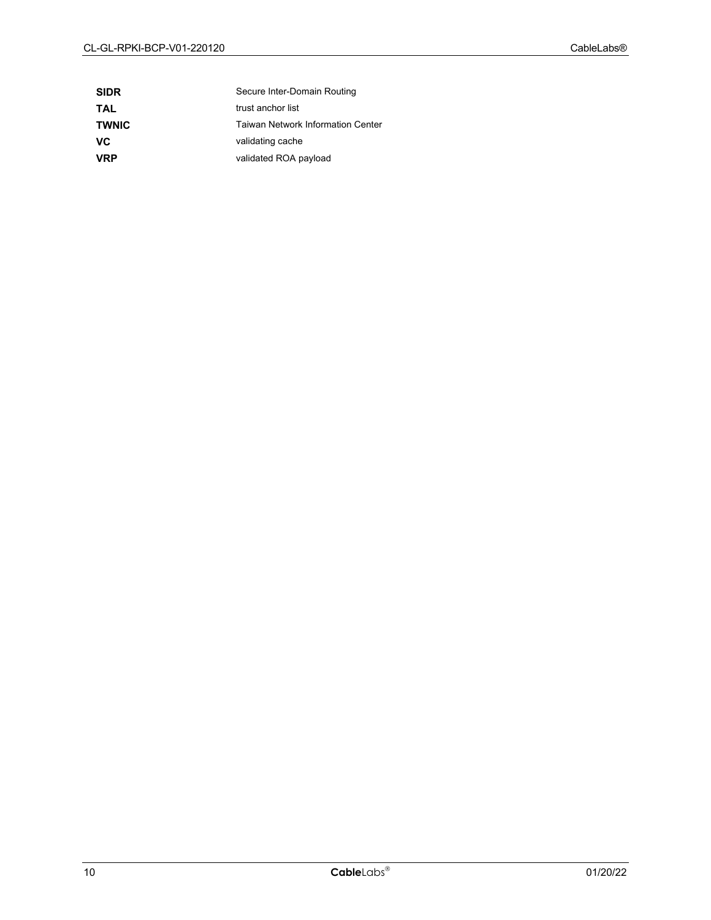| <b>SIDR</b>  | Secure Inter-Domain Routing              |
|--------------|------------------------------------------|
| TAL          | trust anchor list                        |
| <b>TWNIC</b> | <b>Taiwan Network Information Center</b> |
| VC           | validating cache                         |
| <b>VRP</b>   | validated ROA payload                    |
|              |                                          |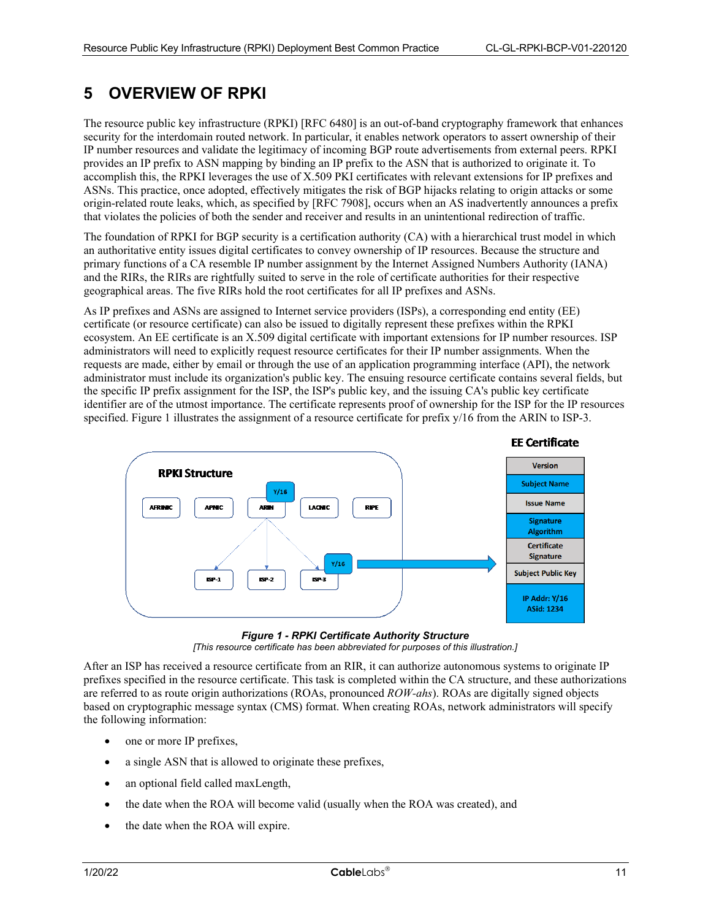### <span id="page-10-0"></span>**5 OVERVIEW OF RPKI**

The resource public key infrastructure (RPKI) [\[RFC 6480\]](#page-6-7) is an out-of-band cryptography framework that enhances security for the interdomain routed network. In particular, it enables network operators to assert ownership of their IP number resources and validate the legitimacy of incoming BGP route advertisements from external peers. RPKI provides an IP prefix to ASN mapping by binding an IP prefix to the ASN that is authorized to originate it. To accomplish this, the RPKI leverages the use of X.509 PKI certificates with relevant extensions for IP prefixes and ASNs. This practice, once adopted, effectively mitigates the risk of BGP hijacks relating to origin attacks or some origin-related route leaks, which, as specified by [\[RFC 7908\],](#page-6-11) occurs when an AS inadvertently announces a prefix that violates the policies of both the sender and receiver and results in an unintentional redirection of traffic.

The foundation of RPKI for BGP security is a certification authority (CA) with a hierarchical trust model in which an authoritative entity issues digital certificates to convey ownership of IP resources. Because the structure and primary functions of a CA resemble IP number assignment by the Internet Assigned Numbers Authority (IANA) and the RIRs, the RIRs are rightfully suited to serve in the role of certificate authorities for their respective geographical areas. The five RIRs hold the root certificates for all IP prefixes and ASNs.

As IP prefixes and ASNs are assigned to Internet service providers (ISPs), a corresponding end entity (EE) certificate (or resource certificate) can also be issued to digitally represent these prefixes within the RPKI ecosystem. An EE certificate is an X.509 digital certificate with important extensions for IP number resources. ISP administrators will need to explicitly request resource certificates for their IP number assignments. When the requests are made, either by email or through the use of an application programming interface (API), the network administrator must include its organization's public key. The ensuing resource certificate contains several fields, but the specific IP prefix assignment for the ISP, the ISP's public key, and the issuing CA's public key certificate identifier are of the utmost importance. The certificate represents proof of ownership for the ISP for the IP resources specified. [Figure 1](#page-10-1) illustrates the assignment of a resource certificate for prefix  $y/16$  from the ARIN to ISP-3.





<span id="page-10-1"></span>After an ISP has received a resource certificate from an RIR, it can authorize autonomous systems to originate IP prefixes specified in the resource certificate. This task is completed within the CA structure, and these authorizations are referred to as route origin authorizations (ROAs, pronounced *ROW-ahs*). ROAs are digitally signed objects based on cryptographic message syntax (CMS) format. When creating ROAs, network administrators will specify the following information:

- one or more IP prefixes,
- a single ASN that is allowed to originate these prefixes,
- an optional field called maxLength,
- the date when the ROA will become valid (usually when the ROA was created), and
- the date when the ROA will expire.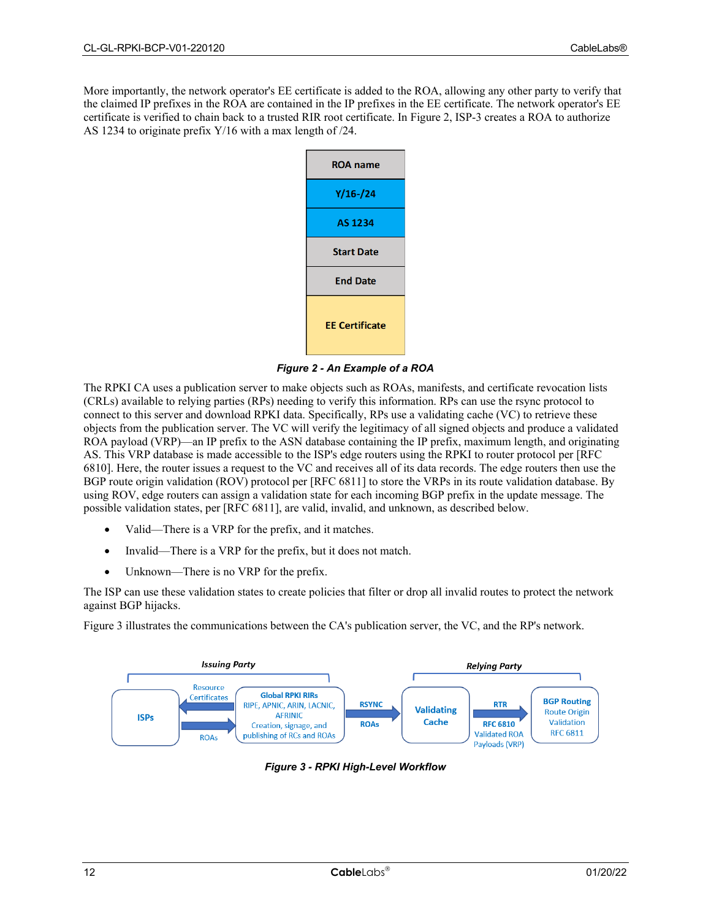More importantly, the network operator's EE certificate is added to the ROA, allowing any other party to verify that the claimed IP prefixes in the ROA are contained in the IP prefixes in the EE certificate. The network operator's EE certificate is verified to chain back to a trusted RIR root certificate. In [Figure 2,](#page-11-0) ISP-3 creates a ROA to authorize AS 1234 to originate prefix Y/16 with a max length of /24.



*Figure 2 - An Example of a ROA*

<span id="page-11-0"></span>The RPKI CA uses a publication server to make objects such as ROAs, manifests, and certificate revocation lists (CRLs) available to relying parties (RPs) needing to verify this information. RPs can use the rsync protocol to connect to this server and download RPKI data. Specifically, RPs use a validating cache (VC) to retrieve these objects from the publication server. The VC will verify the legitimacy of all signed objects and produce a validated ROA payload (VRP)—an IP prefix to the ASN database containing the IP prefix, maximum length, and originating AS. This VRP database is made accessible to the ISP's edge routers using the RPKI to router protocol per [\[RFC](#page-6-12)  [6810\].](#page-6-12) Here, the router issues a request to the VC and receives all of its data records. The edge routers then use the BGP route origin validation (ROV) protocol per [\[RFC 6811\]](#page-6-13) to store the VRPs in its route validation database. By using ROV, edge routers can assign a validation state for each incoming BGP prefix in the update message. The possible validation states, per [\[RFC 6811\],](#page-6-13) are valid, invalid, and unknown, as described below.

- Valid—There is a VRP for the prefix, and it matches.
- Invalid—There is a VRP for the prefix, but it does not match.
- Unknown—There is no VRP for the prefix.

The ISP can use these validation states to create policies that filter or drop all invalid routes to protect the network against BGP hijacks.

[Figure 3](#page-11-1) illustrates the communications between the CA's publication server, the VC, and the RP's network.

<span id="page-11-1"></span>

*Figure 3 - RPKI High-Level Workflow*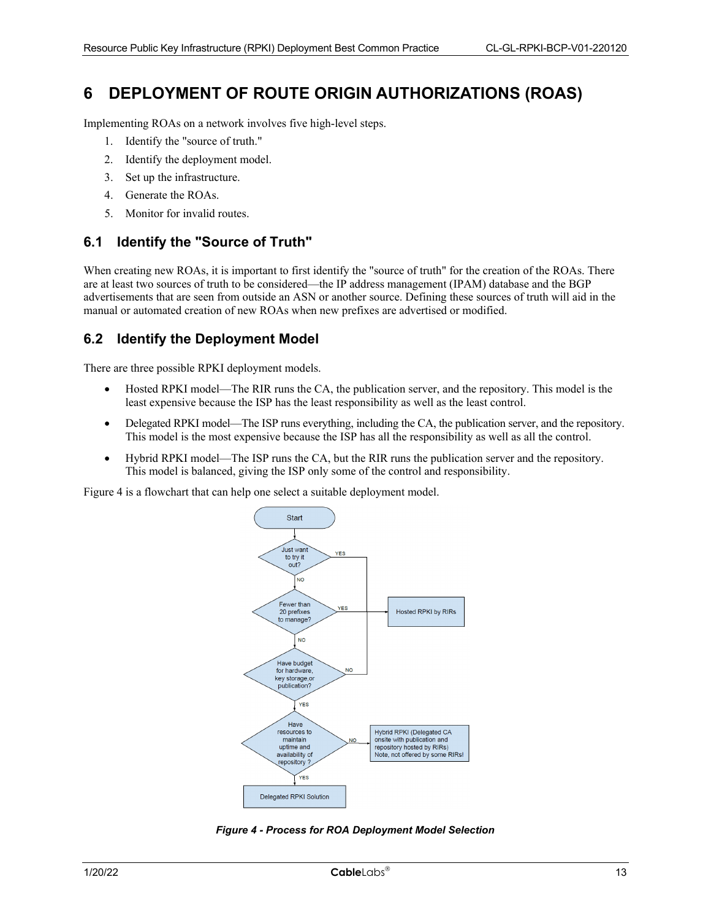### <span id="page-12-0"></span>**6 DEPLOYMENT OF ROUTE ORIGIN AUTHORIZATIONS (ROAS)**

Implementing ROAs on a network involves five high-level steps.

- 1. Identify the "source of truth."
- 2. Identify the deployment model.
- 3. Set up the infrastructure.
- 4. Generate the ROAs.
- 5. Monitor for invalid routes.

#### <span id="page-12-1"></span>**6.1 Identify the "Source of Truth"**

When creating new ROAs, it is important to first identify the "source of truth" for the creation of the ROAs. There are at least two sources of truth to be considered—the IP address management (IPAM) database and the BGP advertisements that are seen from outside an ASN or another source. Defining these sources of truth will aid in the manual or automated creation of new ROAs when new prefixes are advertised or modified.

#### <span id="page-12-2"></span>**6.2 Identify the Deployment Model**

There are three possible RPKI deployment models.

- Hosted RPKI model—The RIR runs the CA, the publication server, and the repository. This model is the least expensive because the ISP has the least responsibility as well as the least control.
- Delegated RPKI model—The ISP runs everything, including the CA, the publication server, and the repository. This model is the most expensive because the ISP has all the responsibility as well as all the control.
- Hybrid RPKI model—The ISP runs the CA, but the RIR runs the publication server and the repository. This model is balanced, giving the ISP only some of the control and responsibility.

[Figure 4](#page-12-3) is a flowchart that can help one select a suitable deployment model.



<span id="page-12-3"></span>*Figure 4 - Process for ROA Deployment Model Selection*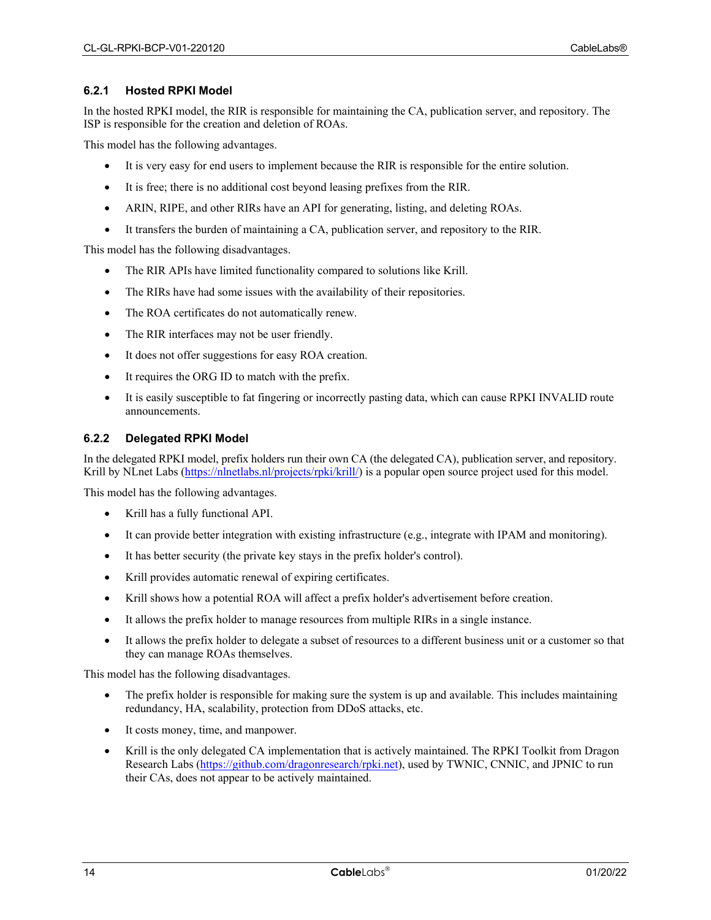#### <span id="page-13-0"></span>**6.2.1 Hosted RPKI Model**

In the hosted RPKI model, the RIR is responsible for maintaining the CA, publication server, and repository. The ISP is responsible for the creation and deletion of ROAs.

This model has the following advantages.

- It is very easy for end users to implement because the RIR is responsible for the entire solution.
- It is free; there is no additional cost beyond leasing prefixes from the RIR.
- ARIN, RIPE, and other RIRs have an API for generating, listing, and deleting ROAs.
- It transfers the burden of maintaining a CA, publication server, and repository to the RIR.

This model has the following disadvantages.

- The RIR APIs have limited functionality compared to solutions like Krill.
- The RIRs have had some issues with the availability of their repositories.
- The ROA certificates do not automatically renew.
- The RIR interfaces may not be user friendly.
- It does not offer suggestions for easy ROA creation.
- It requires the ORG ID to match with the prefix.
- It is easily susceptible to fat fingering or incorrectly pasting data, which can cause RPKI INVALID route announcements.

#### <span id="page-13-1"></span>**6.2.2 Delegated RPKI Model**

In the delegated RPKI model, prefix holders run their own CA (the delegated CA), publication server, and repository. Krill by NLnet Labs [\(https://nlnetlabs.nl/projects/rpki/krill/\)](https://nlnetlabs.nl/projects/rpki/krill/) is a popular open source project used for this model.

This model has the following advantages.

- Krill has a fully functional API.
- It can provide better integration with existing infrastructure (e.g., integrate with IPAM and monitoring).
- It has better security (the private key stays in the prefix holder's control).
- Krill provides automatic renewal of expiring certificates.
- Krill shows how a potential ROA will affect a prefix holder's advertisement before creation.
- It allows the prefix holder to manage resources from multiple RIRs in a single instance.
- It allows the prefix holder to delegate a subset of resources to a different business unit or a customer so that they can manage ROAs themselves.

This model has the following disadvantages.

- The prefix holder is responsible for making sure the system is up and available. This includes maintaining redundancy, HA, scalability, protection from DDoS attacks, etc.
- It costs money, time, and manpower.
- Krill is the only delegated CA implementation that is actively maintained. The RPKI Toolkit from Dragon Research Labs [\(https://github.com/dragonresearch/rpki.net\)](https://github.com/dragonresearch/rpki.net), used by TWNIC, CNNIC, and JPNIC to run their CAs, does not appear to be actively maintained.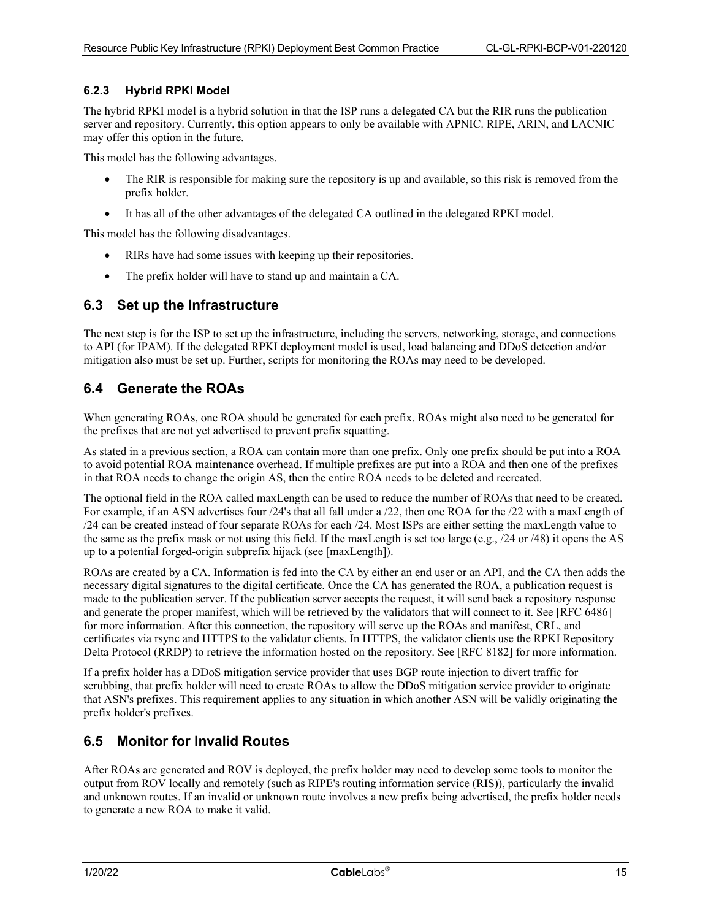#### <span id="page-14-0"></span>**6.2.3 Hybrid RPKI Model**

The hybrid RPKI model is a hybrid solution in that the ISP runs a delegated CA but the RIR runs the publication server and repository. Currently, this option appears to only be available with APNIC. RIPE, ARIN, and LACNIC may offer this option in the future.

This model has the following advantages.

- The RIR is responsible for making sure the repository is up and available, so this risk is removed from the prefix holder.
- It has all of the other advantages of the delegated CA outlined in the delegated RPKI model.

This model has the following disadvantages.

- RIRs have had some issues with keeping up their repositories.
- The prefix holder will have to stand up and maintain a CA.

#### <span id="page-14-1"></span>**6.3 Set up the Infrastructure**

The next step is for the ISP to set up the infrastructure, including the servers, networking, storage, and connections to API (for IPAM). If the delegated RPKI deployment model is used, load balancing and DDoS detection and/or mitigation also must be set up. Further, scripts for monitoring the ROAs may need to be developed.

#### <span id="page-14-2"></span>**6.4 Generate the ROAs**

When generating ROAs, one ROA should be generated for each prefix. ROAs might also need to be generated for the prefixes that are not yet advertised to prevent prefix squatting.

As stated in a previous section, a ROA can contain more than one prefix. Only one prefix should be put into a ROA to avoid potential ROA maintenance overhead. If multiple prefixes are put into a ROA and then one of the prefixes in that ROA needs to change the origin AS, then the entire ROA needs to be deleted and recreated.

The optional field in the ROA called maxLength can be used to reduce the number of ROAs that need to be created. For example, if an ASN advertises four /24's that all fall under a /22, then one ROA for the /22 with a maxLength of /24 can be created instead of four separate ROAs for each /24. Most ISPs are either setting the maxLength value to the same as the prefix mask or not using this field. If the maxLength is set too large (e.g., /24 or /48) it opens the AS up to a potential forged-origin subprefix hijack (see [\[maxLength\]\)](#page-6-14).

ROAs are created by a CA. Information is fed into the CA by either an end user or an API, and the CA then adds the necessary digital signatures to the digital certificate. Once the CA has generated the ROA, a publication request is made to the publication server. If the publication server accepts the request, it will send back a repository response and generate the proper manifest, which will be retrieved by the validators that will connect to it. See [\[RFC 6486\]](#page-6-15) for more information. After this connection, the repository will serve up the ROAs and manifest, CRL, and certificates via rsync and HTTPS to the validator clients. In HTTPS, the validator clients use the RPKI Repository Delta Protocol (RRDP) to retrieve the information hosted on the repository. See [\[RFC 8182\]](#page-6-16) for more information.

If a prefix holder has a DDoS mitigation service provider that uses BGP route injection to divert traffic for scrubbing, that prefix holder will need to create ROAs to allow the DDoS mitigation service provider to originate that ASN's prefixes. This requirement applies to any situation in which another ASN will be validly originating the prefix holder's prefixes.

### <span id="page-14-3"></span>**6.5 Monitor for Invalid Routes**

After ROAs are generated and ROV is deployed, the prefix holder may need to develop some tools to monitor the output from ROV locally and remotely (such as RIPE's routing information service (RIS)), particularly the invalid and unknown routes. If an invalid or unknown route involves a new prefix being advertised, the prefix holder needs to generate a new ROA to make it valid.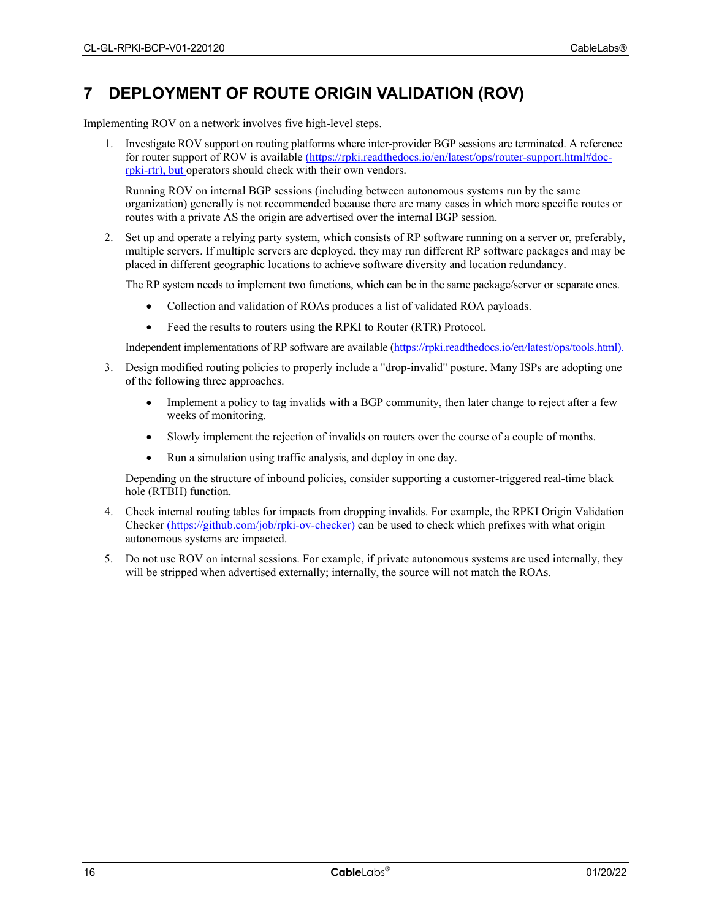### <span id="page-15-0"></span>**7 DEPLOYMENT OF ROUTE ORIGIN VALIDATION (ROV)**

Implementing ROV on a network involves five high-level steps.

1. Investigate ROV support on routing platforms where inter-provider BGP sessions are terminated. A reference for router support of ROV is available [\(https://rpki.readthedocs.io/en/latest/ops/router-support.html#doc](https://rpki.readthedocs.io/en/latest/ops/router-support.html%23doc-rpki-rtr)[rpki-rtr\)](https://rpki.readthedocs.io/en/latest/ops/router-support.html%23doc-rpki-rtr), but operators should check with their own vendors.

Running ROV on internal BGP sessions (including between autonomous systems run by the same organization) generally is not recommended because there are many cases in which more specific routes or routes with a private AS the origin are advertised over the internal BGP session.

2. Set up and operate a relying party system, which consists of RP software running on a server or, preferably, multiple servers. If multiple servers are deployed, they may run different RP software packages and may be placed in different geographic locations to achieve software diversity and location redundancy.

The RP system needs to implement two functions, which can be in the same package/server or separate ones.

- Collection and validation of ROAs produces a list of validated ROA payloads.
- Feed the results to routers using the RPKI to Router (RTR) Protocol.

Independent implementations of RP software are available [\(https://rpki.readthedocs.io/en/latest/ops/tools.html\)](https://rpki.readthedocs.io/en/latest/ops/tools.html).

- 3. Design modified routing policies to properly include a "drop-invalid" posture. Many ISPs are adopting one of the following three approaches.
	- Implement a policy to tag invalids with a BGP community, then later change to reject after a few weeks of monitoring.
	- Slowly implement the rejection of invalids on routers over the course of a couple of months.
	- Run a simulation using traffic analysis, and deploy in one day.

Depending on the structure of inbound policies, consider supporting a customer-triggered real-time black hole (RTBH) function.

- 4. Check internal routing tables for impacts from dropping invalids. For example, the RPKI Origin Validation Checker (https://github.com/job/rpki-ov-checker) can be used to check which prefixes with what origin autonomous systems are impacted.
- 5. Do not use ROV on internal sessions. For example, if private autonomous systems are used internally, they will be stripped when advertised externally; internally, the source will not match the ROAs.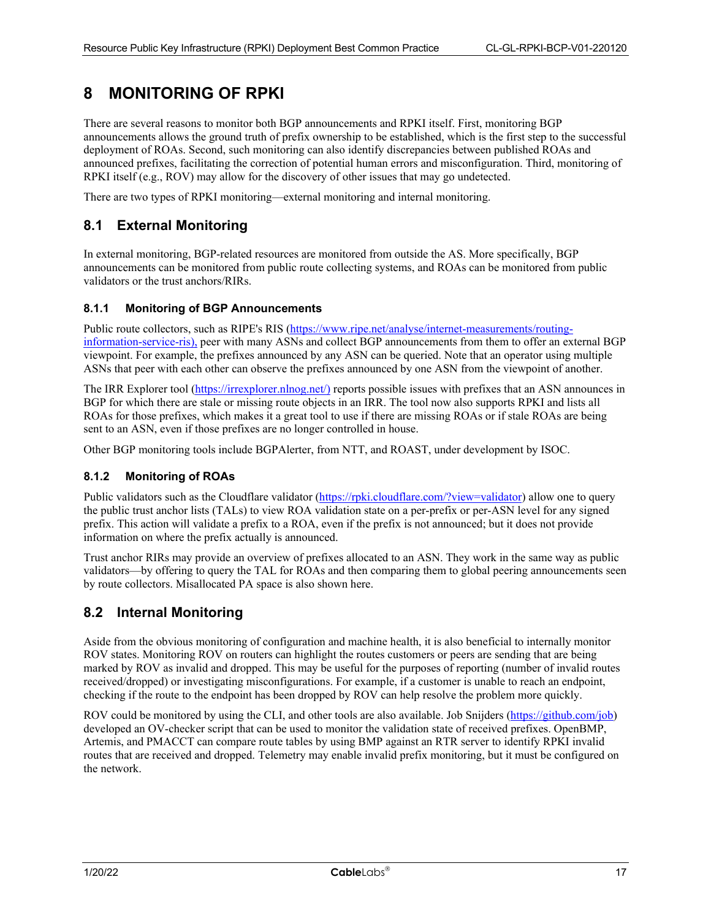### <span id="page-16-0"></span>**8 MONITORING OF RPKI**

There are several reasons to monitor both BGP announcements and RPKI itself. First, monitoring BGP announcements allows the ground truth of prefix ownership to be established, which is the first step to the successful deployment of ROAs. Second, such monitoring can also identify discrepancies between published ROAs and announced prefixes, facilitating the correction of potential human errors and misconfiguration. Third, monitoring of RPKI itself (e.g., ROV) may allow for the discovery of other issues that may go undetected.

There are two types of RPKI monitoring—external monitoring and internal monitoring.

### <span id="page-16-1"></span>**8.1 External Monitoring**

In external monitoring, BGP-related resources are monitored from outside the AS. More specifically, BGP announcements can be monitored from public route collecting systems, and ROAs can be monitored from public validators or the trust anchors/RIRs.

#### <span id="page-16-2"></span>**8.1.1 Monitoring of BGP Announcements**

Public route collectors, such as RIPE's RIS [\(https://www.ripe.net/analyse/internet-measurements/routing](https://www.ripe.net/analyse/internet-measurements/routing-information-service-ris)[information-service-ris\)](https://www.ripe.net/analyse/internet-measurements/routing-information-service-ris), peer with many ASNs and collect BGP announcements from them to offer an external BGP viewpoint. For example, the prefixes announced by any ASN can be queried. Note that an operator using multiple ASNs that peer with each other can observe the prefixes announced by one ASN from the viewpoint of another.

The IRR Explorer tool [\(https://irrexplorer.nlnog.net/\)](https://irrexplorer.nlnog.net/) reports possible issues with prefixes that an ASN announces in BGP for which there are stale or missing route objects in an IRR. The tool now also supports RPKI and lists all ROAs for those prefixes, which makes it a great tool to use if there are missing ROAs or if stale ROAs are being sent to an ASN, even if those prefixes are no longer controlled in house.

Other BGP monitoring tools include BGPAlerter, from NTT, and ROAST, under development by ISOC.

#### <span id="page-16-3"></span>**8.1.2 Monitoring of ROAs**

Public validators such as the Cloudflare validator [\(https://rpki.cloudflare.com/?view=validator\)](https://rpki.cloudflare.com/?view=validator) allow one to query the public trust anchor lists (TALs) to view ROA validation state on a per-prefix or per-ASN level for any signed prefix. This action will validate a prefix to a ROA, even if the prefix is not announced; but it does not provide information on where the prefix actually is announced.

Trust anchor RIRs may provide an overview of prefixes allocated to an ASN. They work in the same way as public validators—by offering to query the TAL for ROAs and then comparing them to global peering announcements seen by route collectors. Misallocated PA space is also shown here.

### <span id="page-16-4"></span>**8.2 Internal Monitoring**

Aside from the obvious monitoring of configuration and machine health, it is also beneficial to internally monitor ROV states. Monitoring ROV on routers can highlight the routes customers or peers are sending that are being marked by ROV as invalid and dropped. This may be useful for the purposes of reporting (number of invalid routes received/dropped) or investigating misconfigurations. For example, if a customer is unable to reach an endpoint, checking if the route to the endpoint has been dropped by ROV can help resolve the problem more quickly.

ROV could be monitored by using the CLI, and other tools are also available. Job Snijders [\(https://github.com/job\)](https://github.com/job) developed an OV-checker script that can be used to monitor the validation state of received prefixes. OpenBMP, Artemis, and PMACCT can compare route tables by using BMP against an RTR server to identify RPKI invalid routes that are received and dropped. Telemetry may enable invalid prefix monitoring, but it must be configured on the network.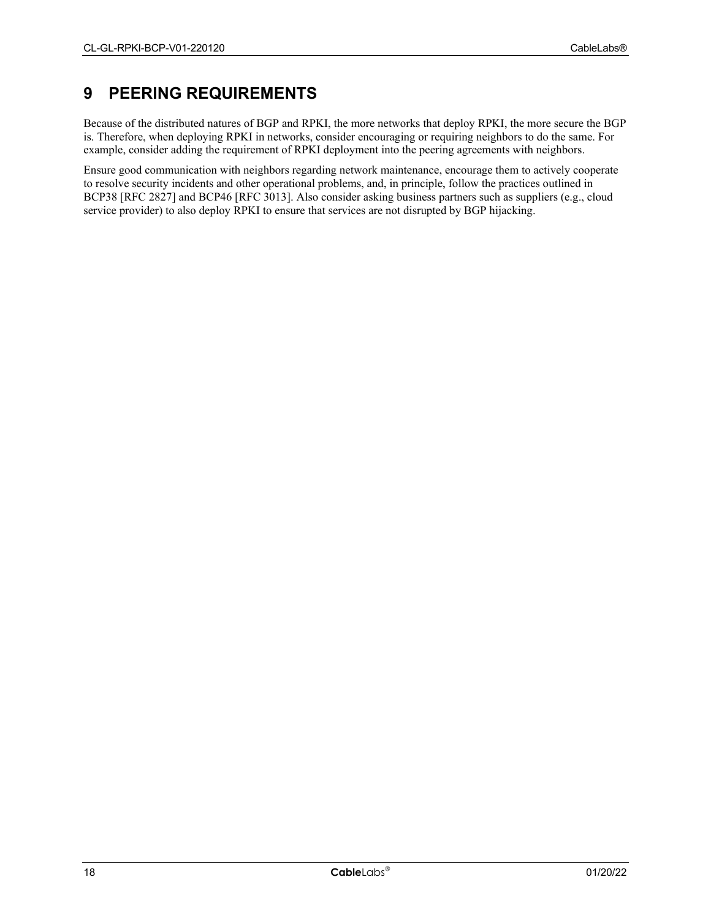### <span id="page-17-0"></span>**9 PEERING REQUIREMENTS**

Because of the distributed natures of BGP and RPKI, the more networks that deploy RPKI, the more secure the BGP is. Therefore, when deploying RPKI in networks, consider encouraging or requiring neighbors to do the same. For example, consider adding the requirement of RPKI deployment into the peering agreements with neighbors.

Ensure good communication with neighbors regarding network maintenance, encourage them to actively cooperate to resolve security incidents and other operational problems, and, in principle, follow the practices outlined in BCP38 [\[RFC 2827\]](#page-6-17) and BCP46 [RFC [3013\].](#page-6-18) Also consider asking business partners such as suppliers (e.g., cloud service provider) to also deploy RPKI to ensure that services are not disrupted by BGP hijacking.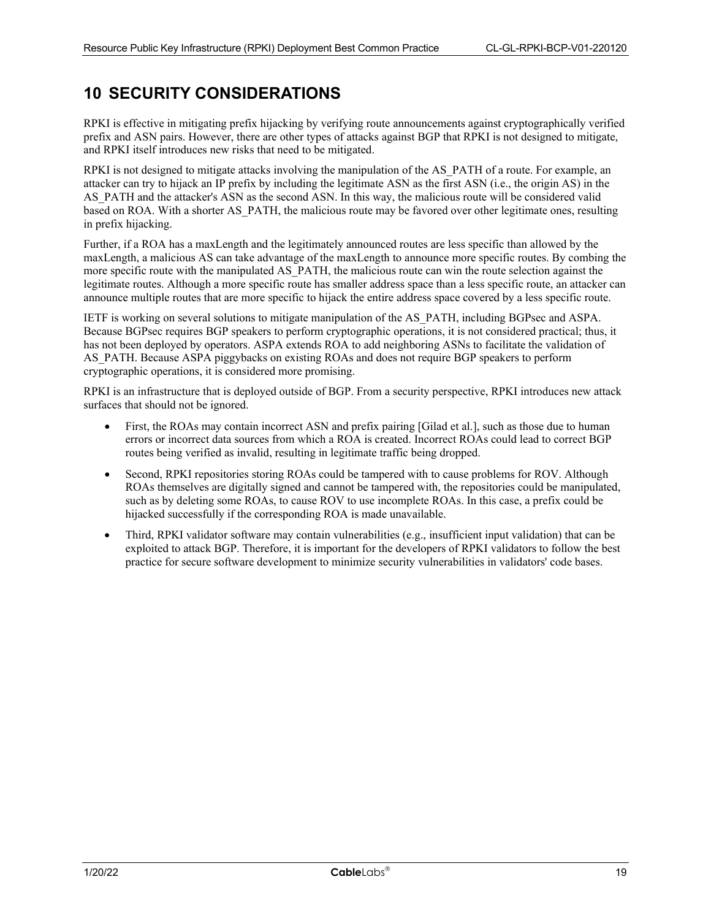### <span id="page-18-0"></span>**10 SECURITY CONSIDERATIONS**

RPKI is effective in mitigating prefix hijacking by verifying route announcements against cryptographically verified prefix and ASN pairs. However, there are other types of attacks against BGP that RPKI is not designed to mitigate, and RPKI itself introduces new risks that need to be mitigated.

RPKI is not designed to mitigate attacks involving the manipulation of the AS\_PATH of a route. For example, an attacker can try to hijack an IP prefix by including the legitimate ASN as the first ASN (i.e., the origin AS) in the AS\_PATH and the attacker's ASN as the second ASN. In this way, the malicious route will be considered valid based on ROA. With a shorter AS\_PATH, the malicious route may be favored over other legitimate ones, resulting in prefix hijacking.

Further, if a ROA has a maxLength and the legitimately announced routes are less specific than allowed by the maxLength, a malicious AS can take advantage of the maxLength to announce more specific routes. By combing the more specific route with the manipulated AS\_PATH, the malicious route can win the route selection against the legitimate routes. Although a more specific route has smaller address space than a less specific route, an attacker can announce multiple routes that are more specific to hijack the entire address space covered by a less specific route.

IETF is working on several solutions to mitigate manipulation of the AS\_PATH, including BGPsec and ASPA. Because BGPsec requires BGP speakers to perform cryptographic operations, it is not considered practical; thus, it has not been deployed by operators. ASPA extends ROA to add neighboring ASNs to facilitate the validation of AS PATH. Because ASPA piggybacks on existing ROAs and does not require BGP speakers to perform cryptographic operations, it is considered more promising.

RPKI is an infrastructure that is deployed outside of BGP. From a security perspective, RPKI introduces new attack surfaces that should not be ignored.

- First, the ROAs may contain incorrect ASN and prefix pairing [\[Gilad et al.\],](#page-6-19) such as those due to human errors or incorrect data sources from which a ROA is created. Incorrect ROAs could lead to correct BGP routes being verified as invalid, resulting in legitimate traffic being dropped.
- Second, RPKI repositories storing ROAs could be tampered with to cause problems for ROV. Although ROAs themselves are digitally signed and cannot be tampered with, the repositories could be manipulated, such as by deleting some ROAs, to cause ROV to use incomplete ROAs. In this case, a prefix could be hijacked successfully if the corresponding ROA is made unavailable.
- Third, RPKI validator software may contain vulnerabilities (e.g., insufficient input validation) that can be exploited to attack BGP. Therefore, it is important for the developers of RPKI validators to follow the best practice for secure software development to minimize security vulnerabilities in validators' code bases.